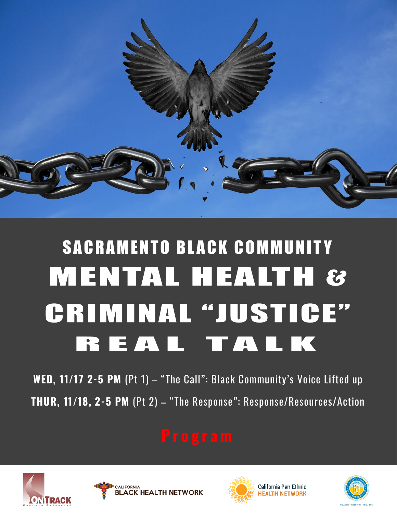

# SACRAMENTO BLACK COMMUNITY **MENTAL HEALTH & CRIMINAL "JUSTICE"** REAL TALK

**WED, 11/17 2-5 PM** (Pt 1) – "The Call": Black Community's Voice Lifted up **THUR, 11/18, 2-5 PM** (Pt 2) – "The Response": Response/Resources/Action







California Pan-Ethnic **HEALTH NETWORK** 

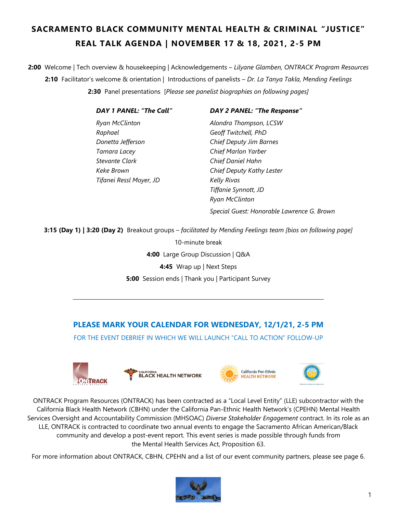# **SACRAMENTO BLACK COMMUNITY MENTAL HEALTH & CRIMINAL "JUSTICE" REAL TALK AGENDA | NOVEMBER 17 & 18, 2021, 2-5 PM**

**2:00** Welcome | Tech overview & housekeeping | Acknowledgements – *Lilyane Glamben, ONTRACK Program Resources* **2:10** Facilitator's welcome & orientation | Introductions of panelists – *Dr. La Tanya Takla, Mending Feelings*  **2:30** Panel presentations [*Please see panelist biographies on following pages]*

| <b>DAY 1 PANEL: "The Call"</b> | <b>DAY 2 PANEL: "The Response"</b>         |
|--------------------------------|--------------------------------------------|
| Ryan McClinton                 | Alondra Thompson, LCSW                     |
| Raphael                        | Geoff Twitchell, PhD                       |
| Donetta Jefferson              | Chief Deputy Jim Barnes                    |
| Tamara Lacey                   | Chief Marlon Yarber                        |
| Stevante Clark                 | Chief Daniel Hahn                          |
| Keke Brown                     | Chief Deputy Kathy Lester                  |
| Tifanei Ressl Moyer, JD        | <b>Kelly Rivas</b>                         |
|                                | Tiffanie Synnott, JD                       |
|                                | <b>Ryan McClinton</b>                      |
|                                | Special Guest: Honorable Lawrence G. Brown |

**3:15 (Day 1) | 3:20 (Day 2)** Breakout groups – *facilitated by Mending Feelings team [bios on following page]*

10-minute break **4:00** Large Group Discussion | Q&A **4:45** Wrap up | Next Steps **5:00** Session ends | Thank you | Participant Survey

## **PLEASE MARK YOUR CALENDAR FOR WEDNESDAY, 12/1/21, 2-5 PM**

FOR THE EVENT DEBRIEF IN WHICH WE WILL LAUNCH "CALL TO ACTION" FOI LOW-UP







ONTRACK Program Resources (ONTRACK) has been contracted as a "Local Level Entity" (LLE) subcontractor with the California Black Health Network (CBHN) under the California Pan-Ethnic Health Network's (CPEHN) Mental Health Services Oversight and Accountability Commission (MHSOAC) *Diverse Stakeholder Engagement* contract. In its role as an LLE, ONTRACK is contracted to coordinate two annual events to engage the Sacramento African American/Black community and develop a post-event report. This event series is made possible through funds from the Mental Health Services Act, Proposition 63.

For more information about ONTRACK, CBHN, CPEHN and a list of our event community partners, please see page 6.

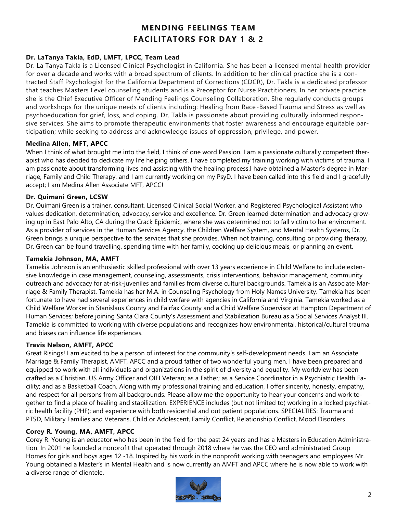# **MENDING FEELINGS TEAM FACILITATORS FOR DAY 1 & 2**

#### **Dr. LaTanya Takla, EdD, LMFT, LPCC, Team Lead**

Dr. La Tanya Takla is a Licensed Clinical Psychologist in California. She has been a licensed mental health provider for over a decade and works with a broad spectrum of clients. In addition to her clinical practice she is a contracted Staff Psychologist for the California Department of Corrections (CDCR), Dr. Takla is a dedicated professor that teaches Masters Level counseling students and is a Preceptor for Nurse Practitioners. In her private practice she is the Chief Executive Officer of Mending Feelings Counseling Collaboration. She regularly conducts groups and workshops for the unique needs of clients including: Healing from Race-Based Trauma and Stress as well as psychoeducation for grief, loss, and coping. Dr. Takla is passionate about providing culturally informed responsive services. She aims to promote therapeutic environments that foster awareness and encourage equitable participation; while seeking to address and acknowledge issues of oppression, privilege, and power.

#### **Medina Allen, MFT, APCC**

When I think of what brought me into the field, I think of one word Passion. I am a passionate culturally competent therapist who has decided to dedicate my life helping others. I have completed my training working with victims of trauma. I am passionate about transforming lives and assisting with the healing process.I have obtained a Master's degree in Marriage, Family and Child Therapy, and I am currently working on my PsyD. I have been called into this field and I gracefully accept; I am Medina Allen Associate MFT, APCC!

#### **Dr. Quimani Green, LCSW**

Dr. Quimani Green is a trainer, consultant, Licensed Clinical Social Worker, and Registered Psychological Assistant who values dedication, determination, advocacy, service and excellence. Dr. Green learned determination and advocacy growing up in East Palo Alto, CA during the Crack Epidemic, where she was determined not to fall victim to her environment. As a provider of services in the Human Services Agency, the Children Welfare System, and Mental Health Systems, Dr. Green brings a unique perspective to the services that she provides. When not training, consulting or providing therapy, Dr. Green can be found travelling, spending time with her family, cooking up delicious meals, or planning an event.

#### **Tamekia Johnson, MA, AMFT**

Tamekia Johnson is an enthusiastic skilled professional with over 13 years experience in Child Welfare to include extensive knowledge in case management, counseling, assessments, crisis interventions, behavior management, community outreach and advocacy for at-risk-juveniles and families from diverse cultural backgrounds. Tamekia is an Associate Marriage & Family Therapist. Tamekia has her M.A. in Counseling Psychology from Holy Names University. Tamekia has been fortunate to have had several experiences in child welfare with agencies in California and Virginia. Tamekia worked as a Child Welfare Worker in Stanislaus County and Fairfax County and a Child Welfare Supervisor at Hampton Department of Human Services; before joining Santa Clara County's Assessment and Stabilization Bureau as a Social Services Analyst III. Tamekia is committed to working with diverse populations and recognizes how environmental, historical/cultural trauma and biases can influence life experiences.

#### **Travis Nelson, AMFT, APCC**

Great Risings! I am excited to be a person of interest for the community's self-development needs. I am an Associate Marriage & Family Therapist, AMFT, APCC and a proud father of two wonderful young men. I have been prepared and equipped to work with all individuals and organizations in the spirit of diversity and equality. My worldview has been crafted as a Christian, US Army Officer and OIFI Veteran; as a Father; as a Service Coordinator in a Psychiatric Health Facility; and as a Basketball Coach. Along with my professional training and education, I offer sincerity, honesty, empathy, and respect for all persons from all backgrounds. Please allow me the opportunity to hear your concerns and work together to find a place of healing and stabilization. EXPERIENCE includes (but not limited to) working in a locked psychiatric health facility (PHF); and experience with both residential and out patient populations. SPECIALTIES: Trauma and PTSD, Military Families and Veterans, Child or Adolescent, Family Conflict, Relationship Conflict, Mood Disorders

#### **Corey R. Young, MA, AMFT, APCC**

Corey R. Young is an educator who has been in the field for the past 24 years and has a Masters in Education Administration. In 2001 he founded a nonprofit that operated through 2018 where he was the CEO and administrated Group Homes for girls and boys ages 12 -18. Inspired by his work in the nonprofit working with teenagers and employees Mr. Young obtained a Master's in Mental Health and is now currently an AMFT and APCC where he is now able to work with a diverse range of clientele.

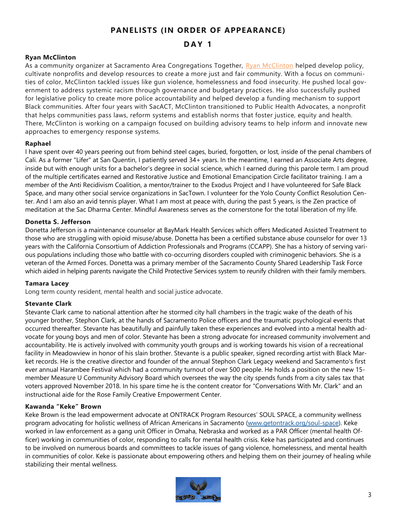### **PANELISTS (IN ORDER OF APPEARANCE)**

#### **D A Y 1**

#### **Ryan McClinton**

As a community organizer at Sacramento Area Congregations Together, Ryan McClinton helped develop policy, cultivate nonprofits and develop resources to create a more just and fair community. With a focus on communities of color, McClinton tackled issues like gun violence, homelessness and food insecurity. He pushed local government to address systemic racism through governance and budgetary practices. He also successfully pushed for legislative policy to create more police accountability and helped develop a funding mechanism to support Black communities. After four years with SacACT, McClinton transitioned to Public Health Advocates, a nonprofit that helps communities pass laws, reform systems and establish norms that foster justice, equity and health. There, McClinton is working on a campaign focused on building advisory teams to help inform and innovate new approaches to emergency response systems.

#### **Raphael**

I have spent over 40 years peering out from behind steel cages, buried, forgotten, or lost, inside of the penal chambers of Cali. As a former "Lifer" at San Quentin, I patiently served 34+ years. In the meantime, I earned an Associate Arts degree, inside but with enough units for a bachelor's degree in social science, which I earned during this parole term. I am proud of the multiple certificates earned and Restorative Justice and Emotional Emancipation Circle facilitator training. I am a member of the Anti Recidivism Coalition, a mentor/trainer to the Exodus Project and I have volunteered for Safe Black Space, and many other social service organizations in SacTown. I volunteer for the Yolo County Conflict Resolution Center. And I am also an avid tennis player. What I am most at peace with, during the past 5 years, is the Zen practice of meditation at the Sac Dharma Center. Mindful Awareness serves as the cornerstone for the total liberation of my life.

#### **Donetta S. Jefferson**

Donetta Jefferson is a maintenance counselor at BayMark Health Services which offers Medicated Assisted Treatment to those who are struggling with opioid misuse/abuse. Donetta has been a certified substance abuse counselor for over 13 years with the California Consortium of Addiction Professionals and Programs (CCAPP). She has a history of serving various populations including those who battle with co-occurring disorders coupled with criminogenic behaviors. She is a veteran of the Armed Forces. Donetta was a primary member of the Sacramento County Shared Leadership Task Force which aided in helping parents navigate the Child Protective Services system to reunify children with their family members.

#### **Tamara Lacey**

Long term county resident, mental health and social justice advocate.

#### **Stevante Clark**

Stevante Clark came to national attention after he stormed city hall chambers in the tragic wake of the death of his younger brother, Stephon Clark, at the hands of Sacramento Police officers and the traumatic psychological events that occurred thereafter. Stevante has beautifully and painfully taken these experiences and evolved into a mental health advocate for young boys and men of color. Stevante has been a strong advocate for increased community involvement and accountability. He is actively involved with community youth groups and is working towards his vision of a recreational facility in Meadowview in honor of his slain brother. Stevante is a public speaker, signed recording artist with Black Market records. He is the creative director and founder of the annual Stephon Clark Legacy weekend and Sacramento's first ever annual Harambee Festival which had a community turnout of over 500 people. He holds a position on the new 15 member Measure U Community Advisory Board which oversees the way the city spends funds from a city sales tax that voters approved November 2018. In his spare time he is the content creator for "Conversations With Mr. Clark" and an instructional aide for the Rose Family Creative Empowerment Center.

#### **Kawanda "Keke" Brown**

Keke Brown is the lead empowerment advocate at ONTRACK Program Resources' SOUL SPACE, a community wellness program advocating for holistic wellness of African Americans in Sacramento (www.getontrack.org/soul-space). Keke worked in law enforcement as a gang unit Officer in Omaha, Nebraska and worked as a PAR Officer (mental health Officer) working in communities of color, responding to calls for mental health crisis. Keke has participated and continues to be involved on numerous boards and committees to tackle issues of gang violence, homelessness, and mental health in communities of color. Keke is passionate about empowering others and helping them on their journey of healing while stabilizing their mental wellness.

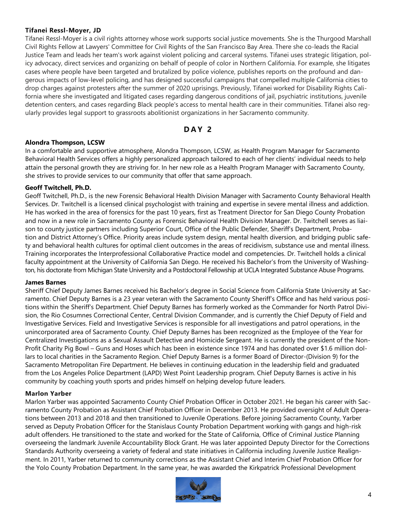#### **Tifanei Ressl-Moyer, JD**

Tifanei Ressl-Moyer is a civil rights attorney whose work supports social justice movements. She is the Thurgood Marshall Civil Rights Fellow at Lawyers' Committee for Civil Rights of the San Francisco Bay Area. There she co-leads the Racial Justice Team and leads her team's work against violent policing and carceral systems. Tifanei uses strategic litigation, policy advocacy, direct services and organizing on behalf of people of color in Northern California. For example, she litigates cases where people have been targeted and brutalized by police violence, publishes reports on the profound and dangerous impacts of low-level policing, and has designed successful campaigns that compelled multiple California cities to drop charges against protesters after the summer of 2020 uprisings. Previously, Tifanei worked for Disability Rights California where she investigated and litigated cases regarding dangerous conditions of jail, psychiatric institutions, juvenile detention centers, and cases regarding Black people's access to mental health care in their communities. Tifanei also regularly provides legal support to grassroots abolitionist organizations in her Sacramento community.

#### **D A Y 2**

#### **Alondra Thompson, LCSW**

In a comfortable and supportive atmosphere, Alondra Thompson, LCSW, as Health Program Manager for Sacramento Behavioral Health Services offers a highly personalized approach tailored to each of her clients' individual needs to help attain the personal growth they are striving for. In her new role as a Health Program Manager with Sacramento County, she strives to provide services to our community that offer that same approach.

#### **Geoff Twitchell, Ph.D.**

Geoff Twitchell, Ph.D., is the new Forensic Behavioral Health Division Manager with Sacramento County Behavioral Health Services. Dr. Twitchell is a licensed clinical psychologist with training and expertise in severe mental illness and addiction. He has worked in the area of forensics for the past 10 years, first as Treatment Director for San Diego County Probation and now in a new role in Sacramento County as Forensic Behavioral Health Division Manager. Dr. Twitchell serves as liaison to county justice partners including Superior Court, Office of the Public Defender, Sheriff's Department, Probation and District Attorney's Office. Priority areas include system design, mental health diversion, and bridging public safety and behavioral health cultures for optimal client outcomes in the areas of recidivism, substance use and mental illness. Training incorporates the Interprofessional Collaborative Practice model and competencies. Dr. Twitchell holds a clinical faculty appointment at the University of California San Diego. He received his Bachelor's from the University of Washington, his doctorate from Michigan State University and a Postdoctoral Fellowship at UCLA Integrated Substance Abuse Programs.

#### **James Barnes**

Sheriff Chief Deputy James Barnes received his Bachelor's degree in Social Science from California State University at Sacramento. Chief Deputy Barnes is a 23 year veteran with the Sacramento County Sheriff's Office and has held various positions within the Sheriff's Department. Chief Deputy Barnes has formerly worked as the Commander for North Patrol Division, the Rio Cosumnes Correctional Center, Central Division Commander, and is currently the Chief Deputy of Field and Investigative Services. Field and Investigative Services is responsible for all investigations and patrol operations, in the unincorporated area of Sacramento County. Chief Deputy Barnes has been recognized as the Employee of the Year for Centralized Investigations as a Sexual Assault Detective and Homicide Sergeant. He is currently the president of the Non-Profit Charity Pig Bowl – Guns and Hoses which has been in existence since 1974 and has donated over \$1.6 million dollars to local charities in the Sacramento Region. Chief Deputy Barnes is a former Board of Director-(Division 9) for the Sacramento Metropolitan Fire Department. He believes in continuing education in the leadership field and graduated from the Los Angeles Police Department (LAPD) West Point Leadership program. Chief Deputy Barnes is active in his community by coaching youth sports and prides himself on helping develop future leaders.

#### **Marlon Yarber**

Marlon Yarber was appointed Sacramento County Chief Probation Officer in October 2021. He began his career with Sacramento County Probation as Assistant Chief Probation Officer in December 2013. He provided oversight of Adult Operations between 2013 and 2018 and then transitioned to Juvenile Operations. Before joining Sacramento County, Yarber served as Deputy Probation Officer for the Stanislaus County Probation Department working with gangs and high-risk adult offenders. He transitioned to the state and worked for the State of California, Office of Criminal Justice Planning overseeing the landmark Juvenile Accountability Block Grant. He was later appointed Deputy Director for the Corrections Standards Authority overseeing a variety of federal and state initiatives in California including Juvenile Justice Realignment. In 2011, Yarber returned to community corrections as the Assistant Chief and Interim Chief Probation Officer for the Yolo County Probation Department. In the same year, he was awarded the Kirkpatrick Professional Development

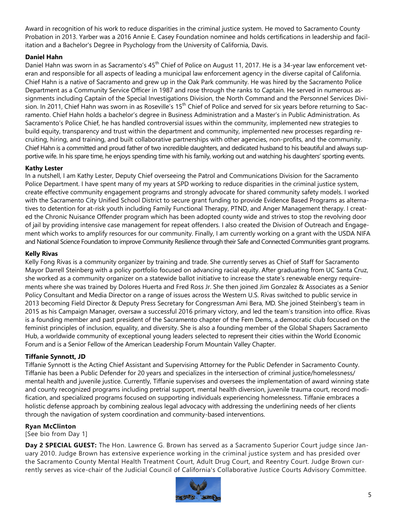Award in recognition of his work to reduce disparities in the criminal justice system. He moved to Sacramento County Probation in 2013. Yarber was a 2016 Annie E. Casey Foundation nominee and holds certifications in leadership and facilitation and a Bachelor's Degree in Psychology from the University of California, Davis.

#### **Daniel Hahn**

Daniel Hahn was sworn in as Sacramento's 45<sup>th</sup> Chief of Police on August 11, 2017. He is a 34-year law enforcement veteran and responsible for all aspects of leading a municipal law enforcement agency in the diverse capital of California. Chief Hahn is a native of Sacramento and grew up in the Oak Park community. He was hired by the Sacramento Police Department as a Community Service Officer in 1987 and rose through the ranks to Captain. He served in numerous assignments including Captain of the Special Investigations Division, the North Command and the Personnel Services Division. In 2011, Chief Hahn was sworn in as Roseville's 15<sup>th</sup> Chief of Police and served for six years before returning to Sacramento. Chief Hahn holds a bachelor's degree in Business Administration and a Master's in Public Administration. As Sacramento's Police Chief, he has handled controversial issues within the community, implemented new strategies to build equity, transparency and trust within the department and community, implemented new processes regarding recruiting, hiring, and training, and built collaborative partnerships with other agencies, non-profits, and the community. Chief Hahn is a committed and proud father of two incredible daughters, and dedicated husband to his beautiful and always supportive wife. In his spare time, he enjoys spending time with his family, working out and watching his daughters' sporting events.

#### **Kathy Lester**

In a nutshell, I am Kathy Lester, Deputy Chief overseeing the Patrol and Communications Division for the Sacramento Police Department. I have spent many of my years at SPD working to reduce disparities in the criminal justice system, create effective community engagement programs and strongly advocate for shared community safety models. I worked with the Sacramento City Unified School District to secure grant funding to provide Evidence Based Programs as alternatives to detention for at-risk youth including Family Functional Therapy, PTND, and Anger Management therapy. I created the Chronic Nuisance Offender program which has been adopted county wide and strives to stop the revolving door of jail by providing intensive case management for repeat offenders. I also created the Division of Outreach and Engagement which works to amplify resources for our community. Finally, I am currently working on a grant with the USDA NIFA and National Science Foundation to improve Community Resilience through their Safe and Connected Communities grant programs.

#### **Kelly Rivas**

Kelly Fong Rivas is a community organizer by training and trade. She currently serves as Chief of Staff for Sacramento Mayor Darrell Steinberg with a policy portfolio focused on advancing racial equity. After graduating from UC Santa Cruz, she worked as a community organizer on a statewide ballot initiative to increase the state's renewable energy requirements where she was trained by Dolores Huerta and Fred Ross Jr. She then joined Jim Gonzalez & Associates as a Senior Policy Consultant and Media Director on a range of issues across the Western U.S. Rivas switched to public service in 2013 becoming Field Director & Deputy Press Secretary for Congressman Ami Bera, MD. She joined Steinberg's team in 2015 as his Campaign Manager, oversaw a successful 2016 primary victory, and led the team's transition into office. Rivas is a founding member and past president of the Sacramento chapter of the Fem Dems, a democratic club focused on the feminist principles of inclusion, equality, and diversity. She is also a founding member of the Global Shapers Sacramento Hub, a worldwide community of exceptional young leaders selected to represent their cities within the World Economic Forum and is a Senior Fellow of the American Leadership Forum Mountain Valley Chapter.

#### **Tiffanie Synnott, JD**

Tiffanie Synnott is the Acting Chief Assistant and Supervising Attorney for the Public Defender in Sacramento County. Tiffanie has been a Public Defender for 20 years and specializes in the intersection of criminal justice/homelessness/ mental health and juvenile justice. Currently, Tiffanie supervises and oversees the implementation of award winning state and county recognized programs including pretrial support, mental health diversion, juvenile trauma court, record modification, and specialized programs focused on supporting individuals experiencing homelessness. Tiffanie embraces a holistic defense approach by combining zealous legal advocacy with addressing the underlining needs of her clients through the navigation of system coordination and community-based interventions.

#### **Ryan McClinton**

[See bio from Day 1]

**Day 2 SPECIAL GUEST:** The Hon. Lawrence G. Brown has served as a Sacramento Superior Court judge since January 2010. Judge Brown has extensive experience working in the criminal justice system and has presided over the Sacramento County Mental Health Treatment Court, Adult Drug Court, and Reentry Court. Judge Brown currently serves as vice-chair of the Judicial Council of California's Collaborative Justice Courts Advisory Committee.